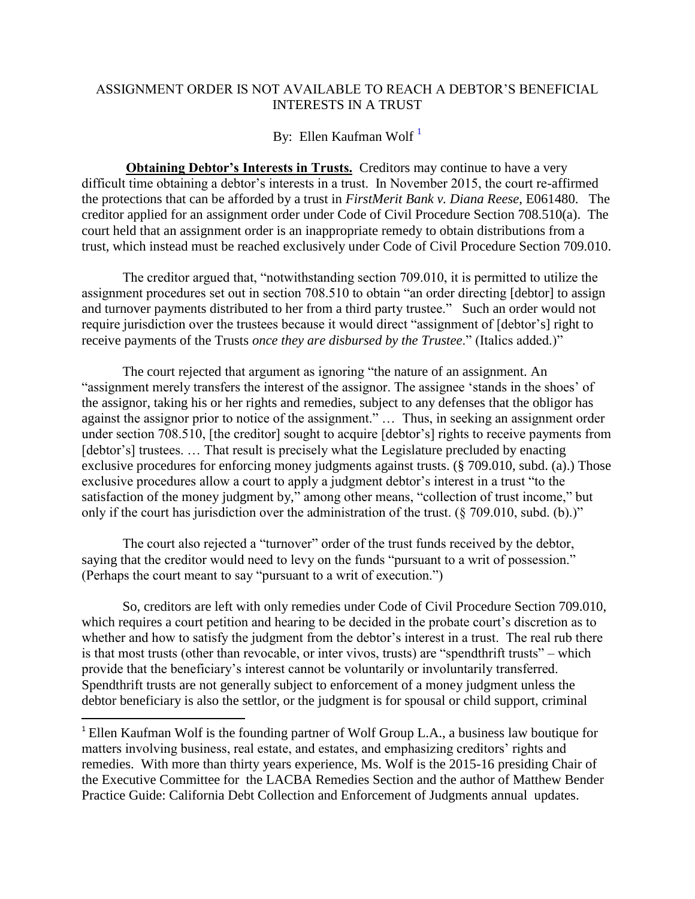## ASSIGNMENT ORDER IS NOT AVAILABLE TO REACH A DEBTOR'S BENEFICIAL INTERESTS IN A TRUST

By: Ellen Kaufman Wolf<sup>1</sup>

**Obtaining Debtor's Interests in Trusts.** Creditors may continue to have a very difficult time obtaining a debtor's interests in a trust. In November 2015, the court re-affirmed the protections that can be afforded by a trust in *FirstMerit Bank v. Diana Reese*, E061480. The creditor applied for an assignment order under Code of Civil Procedure Section 708.510(a). The court held that an assignment order is an inappropriate remedy to obtain distributions from a trust, which instead must be reached exclusively under Code of Civil Procedure Section 709.010.

The creditor argued that, "notwithstanding section 709.010, it is permitted to utilize the assignment procedures set out in section 708.510 to obtain "an order directing [debtor] to assign and turnover payments distributed to her from a third party trustee."Such an order would not require jurisdiction over the trustees because it would direct "assignment of [debtor's] right to receive payments of the Trusts *once they are disbursed by the Trustee*." (Italics added.)"

The court rejected that argument as ignoring "the nature of an assignment. An "assignment merely transfers the interest of the assignor. The assignee 'stands in the shoes' of the assignor, taking his or her rights and remedies, subject to any defenses that the obligor has against the assignor prior to notice of the assignment." … Thus, in seeking an assignment order under section 708.510, [the creditor] sought to acquire [debtor's] rights to receive payments from [debtor's] trustees. ... That result is precisely what the Legislature precluded by enacting exclusive procedures for enforcing money judgments against trusts. (§ 709.010, subd. (a).) Those exclusive procedures allow a court to apply a judgment debtor's interest in a trust "to the satisfaction of the money judgment by," among other means, "collection of trust income," but only if the court has jurisdiction over the administration of the trust. (§ 709.010, subd. (b).)"

The court also rejected a "turnover" order of the trust funds received by the debtor, saying that the creditor would need to levy on the funds "pursuant to a writ of possession." (Perhaps the court meant to say "pursuant to a writ of execution.")

So, creditors are left with only remedies under Code of Civil Procedure Section 709.010, which requires a court petition and hearing to be decided in the probate court's discretion as to whether and how to satisfy the judgment from the debtor's interest in a trust. The real rub there is that most trusts (other than revocable, or inter vivos, trusts) are "spendthrift trusts" – which provide that the beneficiary's interest cannot be voluntarily or involuntarily transferred. Spendthrift trusts are not generally subject to enforcement of a money judgment unless the debtor beneficiary is also the settlor, or the judgment is for spousal or child support, criminal

 $\overline{\phantom{a}}$ 

<sup>1</sup> Ellen Kaufman Wolf is the founding partner of Wolf Group L.A., a business law boutique for matters involving business, real estate, and estates, and emphasizing creditors' rights and remedies. With more than thirty years experience, Ms. Wolf is the 2015-16 presiding Chair of the Executive Committee for the LACBA Remedies Section and the author of Matthew Bender Practice Guide: California Debt Collection and Enforcement of Judgments annual updates.